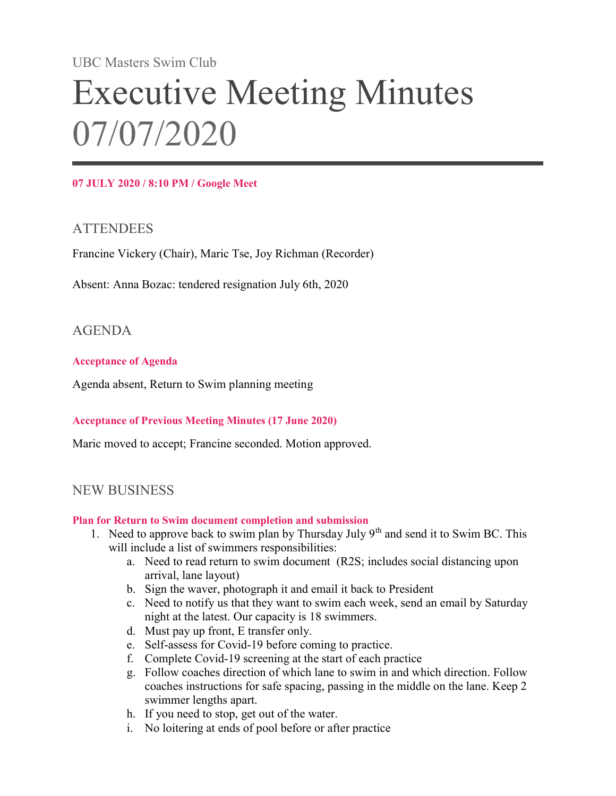UBC Masters Swim Club

# Executive Meeting Minutes 07/07/2020

## 07 JULY 2020 / 8:10 PM / Google Meet

## **ATTENDEES**

Francine Vickery (Chair), Maric Tse, Joy Richman (Recorder)

Absent: Anna Bozac: tendered resignation July 6th, 2020

## AGENDA

## Acceptance of Agenda

Agenda absent, Return to Swim planning meeting

## Acceptance of Previous Meeting Minutes (17 June 2020)

Maric moved to accept; Francine seconded. Motion approved.

# NEW BUSINESS

#### Plan for Return to Swim document completion and submission

- 1. Need to approve back to swim plan by Thursday July 9<sup>th</sup> and send it to Swim BC. This will include a list of swimmers responsibilities:
	- a. Need to read return to swim document (R2S; includes social distancing upon arrival, lane layout)
	- b. Sign the waver, photograph it and email it back to President
	- c. Need to notify us that they want to swim each week, send an email by Saturday night at the latest. Our capacity is 18 swimmers.
	- d. Must pay up front, E transfer only.
	- e. Self-assess for Covid-19 before coming to practice.
	- f. Complete Covid-19 screening at the start of each practice
	- g. Follow coaches direction of which lane to swim in and which direction. Follow coaches instructions for safe spacing, passing in the middle on the lane. Keep 2 swimmer lengths apart.
	- h. If you need to stop, get out of the water.
	- i. No loitering at ends of pool before or after practice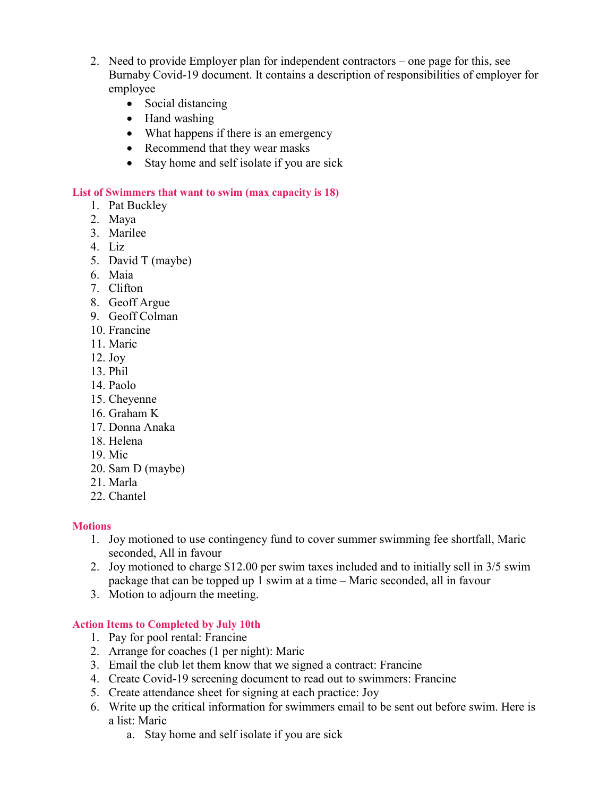- 2. Need to provide Employer plan for independent contractors one page for this, see Burnaby Covid-19 document. It contains a description of responsibilities of employer for employee
	- Social distancing
	- Hand washing
	- What happens if there is an emergency
	- Recommend that they wear masks
	- Stay home and self isolate if you are sick

## List of Swimmers that want to swim (max capacity is 18)

- 1. Pat Buckley
- 2. Maya
- 3. Marilee
- 4. Liz
- 5. David T (maybe)
- 6. Maia
- 7. Clifton
- 8. Geoff Argue
- 9. Geoff Colman
- 10. Francine
- 11. Maric
- 12. Joy
- 13. Phil
- 14. Paolo
- 15. Cheyenne
- 16. Graham K
- 17. Donna Anaka
- 18. Helena
- 19. Mic
- 20. Sam D (maybe)
- 21. Marla
- 22. Chantel

## **Motions**

- 1. Joy motioned to use contingency fund to cover summer swimming fee shortfall, Maric seconded, All in favour
- 2. Joy motioned to charge \$12.00 per swim taxes included and to initially sell in 3/5 swim package that can be topped up 1 swim at a time – Maric seconded, all in favour
- 3. Motion to adjourn the meeting.

## Action Items to Completed by July 10th

- 1. Pay for pool rental: Francine
- 2. Arrange for coaches (1 per night): Maric
- 3. Email the club let them know that we signed a contract: Francine
- 4. Create Covid-19 screening document to read out to swimmers: Francine
- 5. Create attendance sheet for signing at each practice: Joy
- 6. Write up the critical information for swimmers email to be sent out before swim. Here is a list: Maric
	- a. Stay home and self isolate if you are sick